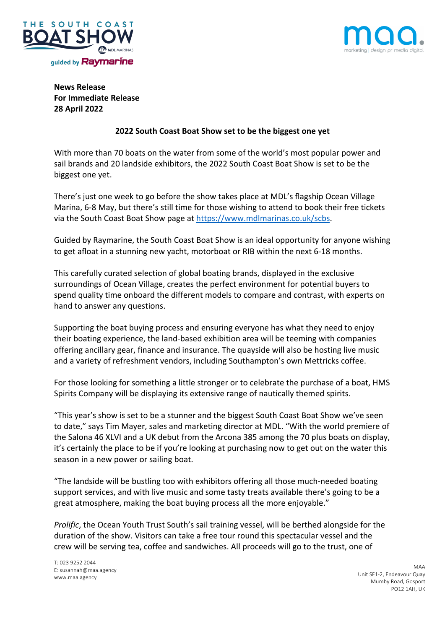



# **News Release For Immediate Release 28 April 2022**

## **2022 South Coast Boat Show set to be the biggest one yet**

With more than 70 boats on the water from some of the world's most popular power and sail brands and 20 landside exhibitors, the 2022 South Coast Boat Show is set to be the biggest one yet.

There's just one week to go before the show takes place at MDL's flagship Ocean Village Marina, 6-8 May, but there's still time for those wishing to attend to book their free tickets via the South Coast Boat Show page at https://www.mdlmarinas.co.uk/scbs.

Guided by Raymarine, the South Coast Boat Show is an ideal opportunity for anyone wishing to get afloat in a stunning new yacht, motorboat or RIB within the next 6-18 months.

This carefully curated selection of global boating brands, displayed in the exclusive surroundings of Ocean Village, creates the perfect environment for potential buyers to spend quality time onboard the different models to compare and contrast, with experts on hand to answer any questions.

Supporting the boat buying process and ensuring everyone has what they need to enjoy their boating experience, the land-based exhibition area will be teeming with companies offering ancillary gear, finance and insurance. The quayside will also be hosting live music and a variety of refreshment vendors, including Southampton's own Mettricks coffee.

For those looking for something a little stronger or to celebrate the purchase of a boat, HMS Spirits Company will be displaying its extensive range of nautically themed spirits.

"This year's show is set to be a stunner and the biggest South Coast Boat Show we've seen to date," says Tim Mayer, sales and marketing director at MDL. "With the world premiere of the Salona 46 XLVI and a UK debut from the Arcona 385 among the 70 plus boats on display, it's certainly the place to be if you're looking at purchasing now to get out on the water this season in a new power or sailing boat.

"The landside will be bustling too with exhibitors offering all those much-needed boating support services, and with live music and some tasty treats available there's going to be a great atmosphere, making the boat buying process all the more enjoyable."

*Prolific*, the Ocean Youth Trust South's sail training vessel, will be berthed alongside for the duration of the show. Visitors can take a free tour round this spectacular vessel and the crew will be serving tea, coffee and sandwiches. All proceeds will go to the trust, one of